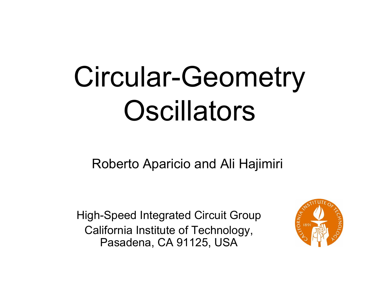# Circular-Geometry **Oscillators**

Roberto Aparicio and Ali Hajimiri

High-Speed Integrated Circuit Group California Institute of Technology, Pasadena, CA 91125, USA

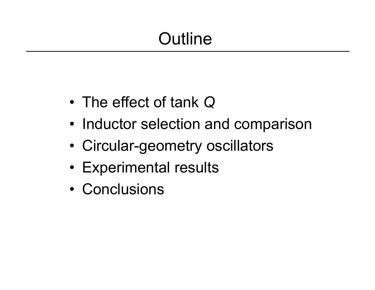# **Outline**

- •The effect of tank *Q*
- Inductor selection and comparison
- •Circular-geometry oscillators
- Experimental results
- Conclusions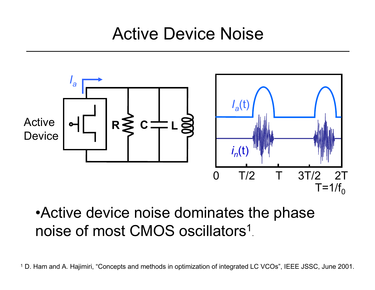Active Device Noise



#### •Active device noise dominates the phase noise of most CMOS oscillators 1.

<sup>1</sup> D. Ham and A. Hajimiri, "Concepts and methods in optimization of integrated LC VCOs", IEEE JSSC, June 2001.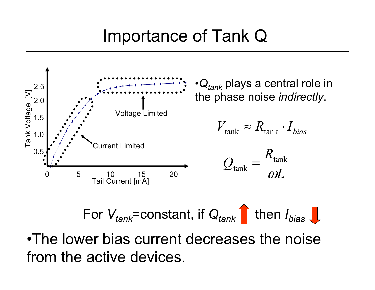## Importance of Tank Q



For 
$$
V_{\text{tank}}
$$
 = constant, if  $Q_{\text{tank}}$  then  $I_{\text{bias}}$ 

•The lower bias current decreases the noise from the active devices.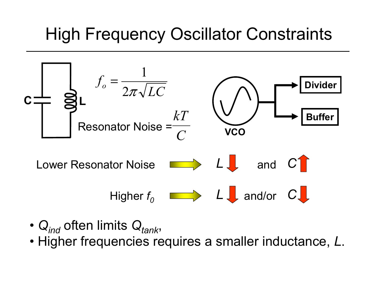# High Frequency Oscillator Constraints



- Q<sub>ind</sub> often limits Q<sub>tank</sub>,
- Higher frequencies requires a smaller inductance, *L*.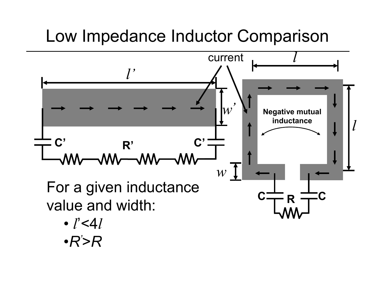# Low Impedance Inductor Comparison

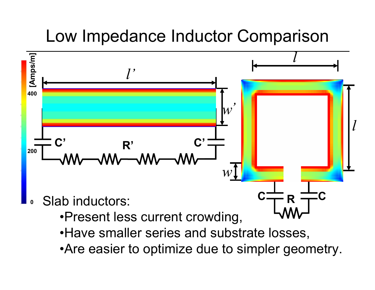# Low Impedance Inductor Comparison

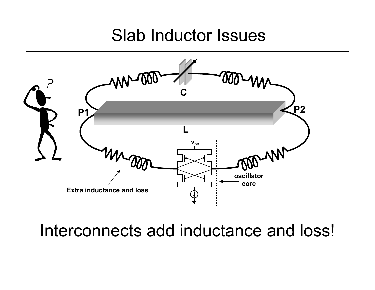#### Slab Inductor Issues



Interconnects add inductance and loss!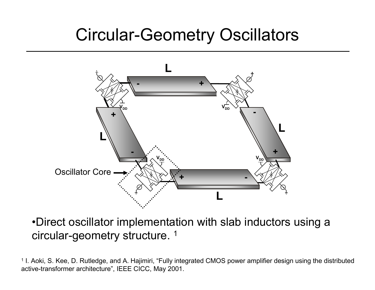# Circular-Geometry Oscillators



•Direct oscillator implementation with slab inductors using a circular-geometry structure. 1

<sup>1</sup> I. Aoki, S. Kee, D. Rutledge, and A. Hajimiri, "Fully integrated CMOS power amplifier design using the distributed active-transformer architecture", IEEE CICC, May 2001.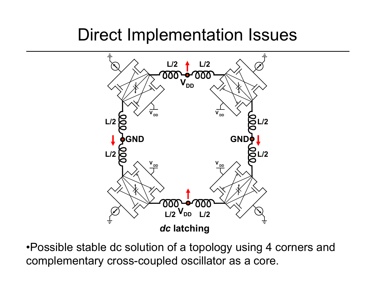# Direct Implementation Issues



•Possible stable dc solution of a topology using 4 corners and complementary cross-coupled oscillator as a core.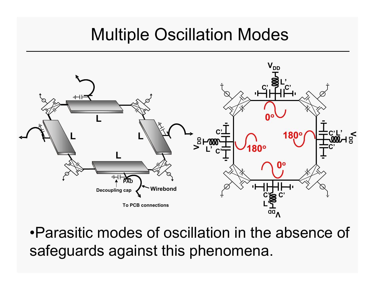### Multiple Oscillation Modes



•Parasitic modes of oscillation in the absence of safeguards against this phenomena.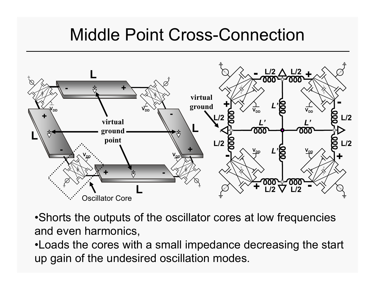## Middle Point Cross-Connection



•Shorts the outputs of the oscillator cores at low frequencies and even harmonics,

•Loads the cores with a small impedance decreasing the start up gain of the undesired oscillation modes.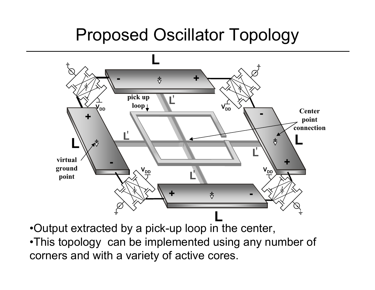# Proposed Oscillator Topology



•Output extracted by a pick-up loop in the center,

•This topology can be implemented using any number of corners and with a variety of active cores.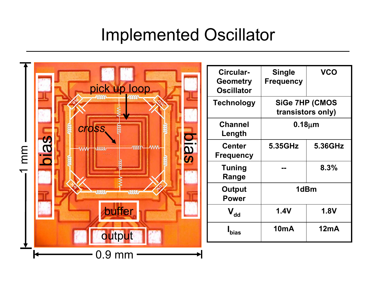# Implemented Oscillator

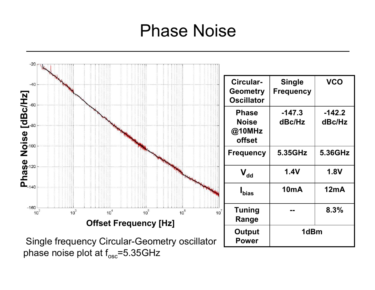#### Phase Noise

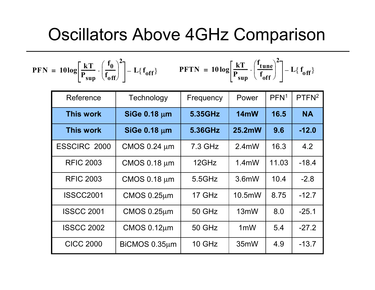#### Oscillators Above 4GHz Comparison

$$
PFN = 10\log\left[\frac{kT}{P_{sup}}\cdot\left(\frac{f_0}{f_{off}}\right)^2\right] - L\{f_{off}\}\qquad PFTN = 10\log\left[\frac{kT}{P_{sup}}\cdot\left(\frac{f_{tune}}{f_{off}}\right)^2\right] - L\{f_{off}\}
$$

| Reference           | Technology          | Frequency     | Power            | PFN <sup>1</sup> | PTFN <sup>2</sup> |
|---------------------|---------------------|---------------|------------------|------------------|-------------------|
| <b>This work</b>    | SiGe 0.18 µm        | 5.35GHz       | 14mW             | 16.5             | <b>NA</b>         |
| <b>This work</b>    | <b>SiGe 0.18 µm</b> | 5.36GHz       | 25.2mW           | 9.6              | $-12.0$           |
| <b>ESSCIRC 2000</b> | CMOS 0.24 µm        | 7.3 GHz       | $2.4$ mW         | 16.3             | 4.2               |
| <b>RFIC 2003</b>    | <b>CMOS 0.18 µm</b> | 12GHz         | $1.4m$ W         | 11.03            | $-18.4$           |
| <b>RFIC 2003</b>    | <b>CMOS 0.18 µm</b> | 5.5GHz        | $3.6m$ W         | 10.4             | $-2.8$            |
| <b>ISSCC2001</b>    | $CMOS 0.25 \mu m$   | 17 GHz        | $10.5$ mW        | 8.75             | $-12.7$           |
| <b>ISSCC 2001</b>   | $CMOS 0.25 \mu m$   | <b>50 GHz</b> | 13mW             | 8.0              | $-25.1$           |
| <b>ISSCC 2002</b>   | $CMOS 0.12 \mu m$   | <b>50 GHz</b> | 1 <sub>m</sub> W | 5.4              | $-27.2$           |
| <b>CICC 2000</b>    | BiCMOS 0.35µm       | 10 GHz        | 35mW             | 4.9              | $-13.7$           |